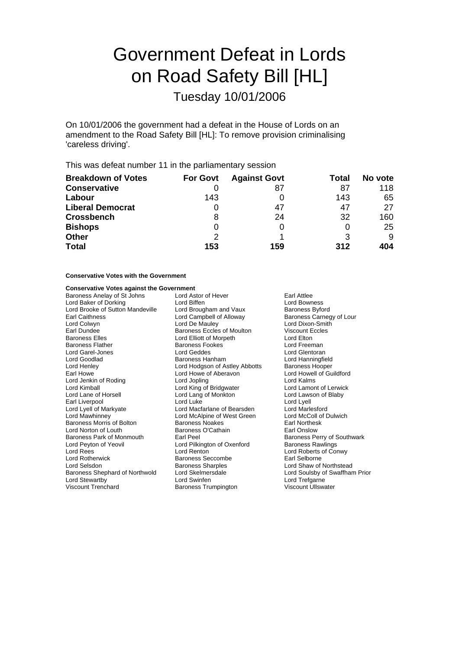# Government Defeat in Lords on Road Safety Bill [HL]

Tuesday 10/01/2006

On 10/01/2006 the government had a defeat in the House of Lords on an amendment to the Road Safety Bill [HL]: To remove provision criminalising 'careless driving'.

This was defeat number 11 in the parliamentary session

| <b>Breakdown of Votes</b> | <b>For Govt</b> | <b>Against Govt</b> | Total | No vote |
|---------------------------|-----------------|---------------------|-------|---------|
| <b>Conservative</b>       |                 | 87                  | 87    | 118     |
| Labour                    | 143             |                     | 143   | 65      |
| <b>Liberal Democrat</b>   |                 | 47                  | 47    | 27      |
| <b>Crossbench</b>         | 8               | 24                  | 32    | 160     |
| <b>Bishops</b>            |                 |                     | O     | 25      |
| <b>Other</b>              | 2               |                     |       | 9       |
| <b>Total</b>              | 153             | 159                 | 312   | 404     |

### **Conservative Votes with the Government**

## **Conservative Votes against the Government**

| Conservative votes against the Government |                                   |                                |  |
|-------------------------------------------|-----------------------------------|--------------------------------|--|
| Baroness Anelay of St Johns               | Lord Astor of Hever               | Earl Attlee                    |  |
| Lord Baker of Dorking                     | Lord Biffen                       | <b>Lord Bowness</b>            |  |
| Lord Brooke of Sutton Mandeville          | Lord Brougham and Vaux            | <b>Baroness Byford</b>         |  |
| <b>Earl Caithness</b>                     | Lord Campbell of Alloway          | Baroness Carnegy of Lour       |  |
| Lord Colwyn                               | Lord De Mauley                    | Lord Dixon-Smith               |  |
| Earl Dundee                               | <b>Baroness Eccles of Moulton</b> | <b>Viscount Eccles</b>         |  |
| <b>Baroness Elles</b>                     | Lord Elliott of Morpeth           | Lord Elton                     |  |
| <b>Baroness Flather</b>                   | <b>Baroness Fookes</b>            | Lord Freeman                   |  |
| Lord Garel-Jones                          | Lord Geddes                       | Lord Glentoran                 |  |
| Lord Goodlad                              | Baroness Hanham                   | Lord Hanningfield              |  |
| Lord Henley                               | Lord Hodgson of Astley Abbotts    | <b>Baroness Hooper</b>         |  |
| Earl Howe                                 | Lord Howe of Aberavon             | Lord Howell of Guildford       |  |
| Lord Jenkin of Roding                     | Lord Jopling                      | Lord Kalms                     |  |
| Lord Kimball                              | Lord King of Bridgwater           | Lord Lamont of Lerwick         |  |
| Lord Lane of Horsell                      | Lord Lang of Monkton              | Lord Lawson of Blaby           |  |
| Earl Liverpool                            | Lord Luke                         | Lord Lyell                     |  |
| Lord Lyell of Markyate                    | Lord Macfarlane of Bearsden       | Lord Marlesford                |  |
| Lord Mawhinney                            | Lord McAlpine of West Green       | Lord McColl of Dulwich         |  |
| Baroness Morris of Bolton                 | Baroness Noakes                   | Earl Northesk                  |  |
| Lord Norton of Louth                      | Baroness O'Cathain                | Earl Onslow                    |  |
| Baroness Park of Monmouth                 | Earl Peel                         | Baroness Perry of Southwark    |  |
| Lord Peyton of Yeovil                     | Lord Pilkington of Oxenford       | <b>Baroness Rawlings</b>       |  |
| Lord Rees                                 | Lord Renton                       | Lord Roberts of Conwy          |  |
| <b>Lord Rotherwick</b>                    | Baroness Seccombe                 | Earl Selborne                  |  |
| Lord Selsdon                              | <b>Baroness Sharples</b>          | Lord Shaw of Northstead        |  |
| Baroness Shephard of Northwold            | Lord Skelmersdale                 | Lord Soulsby of Swaffham Prior |  |
| Lord Stewartby                            | Lord Swinfen                      | Lord Trefgarne                 |  |
| <b>Viscount Trenchard</b>                 | Baroness Trumpington              | Viscount Ullswater             |  |
|                                           |                                   |                                |  |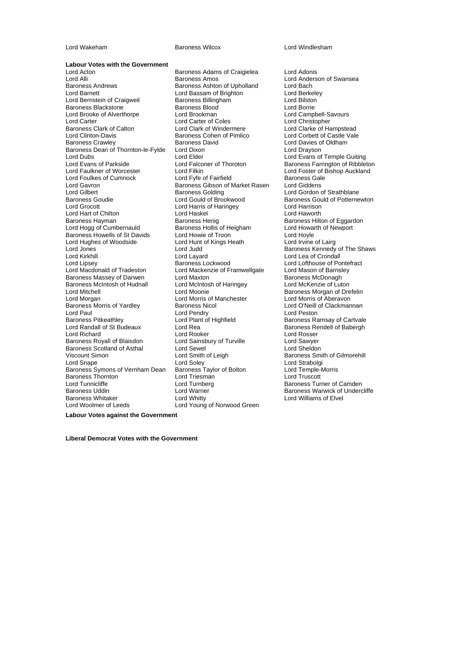**Labour Votes with the Government**<br>Lord Acton Lord Acton Baroness Adams of Craigielea Lord Adonis Lord Alli **Lord Alli Baroness Amos** Cord Anderson of Swansea<br>Baroness Andrews **Baroness Ashton of Upholland** Lord Bach Lord Barnett **Lord Bassam of Brighton** Lord Berkele<br>
Lord Bernstein of Craigweil **Baroness Billingham** Lord Bilston Lord Bernstein of Craigweil **Baroness Billingham** Lord Bilston<br>Baroness Blackstone Baroness Blood Lord Briston Baroness Blackstone Baroness Blood Lord Borrie<br>
Lord Brooke of Alverthorpe Lord Brookman Lord Borrie Lord Borrie<br>
Lord Brooke of Alverthorpe Lord Brookman Lord Campbell-Savours Lord Brooke of Alverthorpe Lord Brookman Lord Campbell-Savor Lord Campbell-Savor Lord Campbell-Savor Lord Christopher<br>
Lord Carter Coles Lord Christopher Baroness Clark of Calton Lord Clark of Windermere<br>
Lord Clinton-Davis **Colombia Clarke Colombia Baroness Cohen of Pimlico** Lord Clinton-Davis **Example 2** Baroness Cohen of Pimlico **Lord Corbett of Castle Vale**<br>Baroness Crawley **Baroness David** Baroness David Lord Davies of Oldham Baroness Dean of Thornton-le-Fylde Lord Dixon<br>Lord Dubs<br>Lord Blder Lord Dubs<br>Lord Evans of Temple Guiting<br>Lord Evans of Parkside Lord Falconer of Thoroton Baroness Farrington of Ribblet Lord Evans of Parkside **Lord Falconer of Thoroton** Baroness Farrington of Ribbleton<br>Lord Faulkner of Worcester **Lord Filkin** Lord Filkin **Baroness Farrington Auckland** Lord Faulkner of Worcester Lord Filkin Lord Foster of Bishop Auckland<br>Lord Foulkes of Cumnock Lord Fvfe of Fairfield Baroness Gale Lord Foulkes of Cumnock Lord Fyfe of Fairfield Baroness Gale Lord Gavron **Baroness Gibson of Market Rasen**<br>
Baroness Golding<br>
Baroness Golding Lord Gilbert **Communist Communist Constructs** Baroness Golding **Lord Gordon of Strathblane**<br>Baroness Goudie **Baroness Could Communist Constructs** Baroness Gould of Potterne Baroness Goudie **Example 2** Lord Gould of Brookwood Baroness Gould of Potternewton<br>
Lord Grocott **Baroness** Lord Haringev Lord Haringev Lord Haringen Lord Hart of Chilton<br>
Baroness Hayman<br>
Baroness Henig Baroness Hayman **Baroness Henig** Baroness Henig Baroness Hilton of Eggardon<br>Baroness Hollis of Heigham Baroness Hollis of Heigham Lord Howarth of Newport Baroness Howells of St Davids<br>
Lord Hughes of Woodside Lord Hunt of Kings Heath Lord Irvine of Lairg Lord Hughes of Woodside Lord Hunt<br>
Lord Jones Heath Lord Judd Lord Jones Lord Judd Baroness Kennedy of The Shaws<br>
Lord Kirkhill Lord Lavard Lord Lavard Lord Lea of Crondall Lord Lipsey **Baroness Lockwood** Lord Lord Lofthouse of Ponte<br>
Lord Macdonald of Tradeston Lord Mackenzie of Framwellgate Lord Mason of Barnsley Baroness Massey of Darwen Lord Maxton Baroness McDonagh<br>Baroness McDonagh Baroness McDonagh Lord McMenzie of Luton Lord McMenzie of Luton Baroness McIntosh of Hudnall Lord McIntos<br>Lord Mitchell Lord Moonie Lord Mitchell **Lord Moonie** Cord Moonie Cord Baroness Morgan of Drefelin<br>Lord Morgan **Baroness Moonie Cord Moonies** Cord Mortis of Aberavon Baroness Morris of Yardley Lord Paul Lord Pendry Cord Pendry Lord Peston<br>
Baroness Pitkeathley Lord Paul Lord Plant of Highfield Baroness Ra Baroness Pitkeathley **Lord Plant of Highfield** Baroness Ramsay of Cartvale<br>
Lord Randall of St Budeaux Lord Rea **Baroness Rendell of Baber**ah Lord Richard **Lord Rooker** Lord Rooker **Lord Rooker** Lord Rosser<br>
Baroness Royall of Blaisdon **Lord Sainsbury of Turville** Lord Sawyer Baroness Royall of Blaisdon Lord Sainsbury of Turville Lord Sawyer Baroness Scotland of Asthal Lord Sewel<br>
Viscount Simon<br>
Lord Smith of Leigh Viscount Simon Lord Smith of Leigh Baroness Smith of Gilmorehill Baroness Symons of Vernham Dean Baroness Taylor of Bolton Lord Temple-I<br>Baroness Thornton Lord Triesman Lord Triesman Baroness Thornton Lord Triesman<br>
Lord Tunnicliffe Lord Turnberg Lord Tunnicliffe Lord Turnberg Baroness Turner of Camden Baroness Uddin **Exercise Search Control Control** Baroness Warwick of Undercliffe<br>Baroness Whitaker **Baroness Lord Exercise Control** Lord Williams of Elvel Baroness Whitaker **Lord Whitty** Lord Whitty **Lord Communist Constructs** Lord Williams of Elvel<br>
Lord Woolmer of Leeds **Lord Young of Norwood Green** 

Baroness Ashton of Upholland Lord Bach<br>
Lord Bassam of Brighton Cord Berkeley Lord Carter of Coles<br>
Lord Clark of Windermere<br>
Lord Clarke of Hampstead Baroness David **Baroness David Lord Davies of Oldham**<br>
Lord Dixon<br>
Lord Dravson Lord Harris of Haringey Lord Harrison<br>
Lord Haskel Lord Haworth Lord Haworth Lord Hollis of Heigham Lord Howarth Lord Howarth Lord Howarth Lord Howarth Cumber<br>Lord Howie of Troon Lord Mackenzie of Framwellgate Lord Mason of Barnsl<br>Lord Maxton Corporation Baroness McDonagh Lord Morris of Manchester Lord Morris of Aberavon<br>
Baroness Nicol<br>
Lord O'Neill of Clackmannan Lord Rea **Budeaux Lord Rea Baroness Rendell of Babergh**<br>
Lord Rooker<br>
Lord Rosser Lord Soley<br>
Lord Soley<br>
Baroness Taylor of Bolton<br>
Lord Temple-Morris Lord Young of Norwood Green

Lord Wakeham Baroness Wilcox Lord Windlesham

Lord Lea of Crondall<br>Lord Lofthouse of Pontefract

**Labour Votes against the Government**

**Liberal Democrat Votes with the Government**